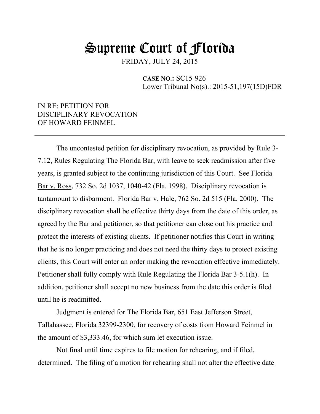## Supreme Court of Florida

FRIDAY, JULY 24, 2015

 **CASE NO.:** SC15-926 Lower Tribunal No(s).: 2015-51,197(15D)FDR

### IN RE: PETITION FOR DISCIPLINARY REVOCATION OF HOWARD FEINMEL

The uncontested petition for disciplinary revocation, as provided by Rule 3- 7.12, Rules Regulating The Florida Bar, with leave to seek readmission after five years, is granted subject to the continuing jurisdiction of this Court. See Florida Bar v. Ross, 732 So. 2d 1037, 1040-42 (Fla. 1998). Disciplinary revocation is tantamount to disbarment. Florida Bar v. Hale, 762 So. 2d 515 (Fla. 2000). The disciplinary revocation shall be effective thirty days from the date of this order, as agreed by the Bar and petitioner, so that petitioner can close out his practice and protect the interests of existing clients. If petitioner notifies this Court in writing that he is no longer practicing and does not need the thirty days to protect existing clients, this Court will enter an order making the revocation effective immediately. Petitioner shall fully comply with Rule Regulating the Florida Bar 3-5.1(h). In addition, petitioner shall accept no new business from the date this order is filed until he is readmitted.

Judgment is entered for The Florida Bar, 651 East Jefferson Street, Tallahassee, Florida 32399-2300, for recovery of costs from Howard Feinmel in the amount of \$3,333.46, for which sum let execution issue.

Not final until time expires to file motion for rehearing, and if filed, determined. The filing of a motion for rehearing shall not alter the effective date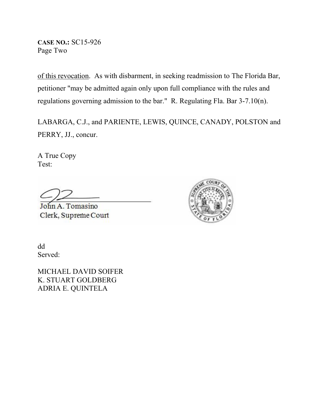**CASE NO.:** SC15-926 Page Two

of this revocation. As with disbarment, in seeking readmission to The Florida Bar, petitioner "may be admitted again only upon full compliance with the rules and regulations governing admission to the bar." R. Regulating Fla. Bar 3-7.10(n).

LABARGA, C.J., and PARIENTE, LEWIS, QUINCE, CANADY, POLSTON and PERRY, JJ., concur.

A True Copy Test:

John A. Tomasino Clerk, Supreme Court



dd Served:

MICHAEL DAVID SOIFER K. STUART GOLDBERG ADRIA E. QUINTELA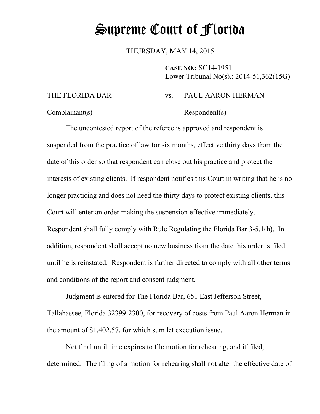# Supreme Court of Florida

THURSDAY, MAY 14, 2015

**CASE NO.:** SC14-1951 Lower Tribunal No(s).: 2014-51,362(15G)

#### THE FLORIDA BAR vs. PAUL AARON HERMAN

Complainant(s) Respondent(s)

The uncontested report of the referee is approved and respondent is suspended from the practice of law for six months, effective thirty days from the date of this order so that respondent can close out his practice and protect the interests of existing clients. If respondent notifies this Court in writing that he is no longer practicing and does not need the thirty days to protect existing clients, this Court will enter an order making the suspension effective immediately. Respondent shall fully comply with Rule Regulating the Florida Bar 3-5.1(h). In addition, respondent shall accept no new business from the date this order is filed until he is reinstated. Respondent is further directed to comply with all other terms and conditions of the report and consent judgment.

Judgment is entered for The Florida Bar, 651 East Jefferson Street, Tallahassee, Florida 32399-2300, for recovery of costs from Paul Aaron Herman in the amount of \$1,402.57, for which sum let execution issue.

Not final until time expires to file motion for rehearing, and if filed, determined. The filing of a motion for rehearing shall not alter the effective date of